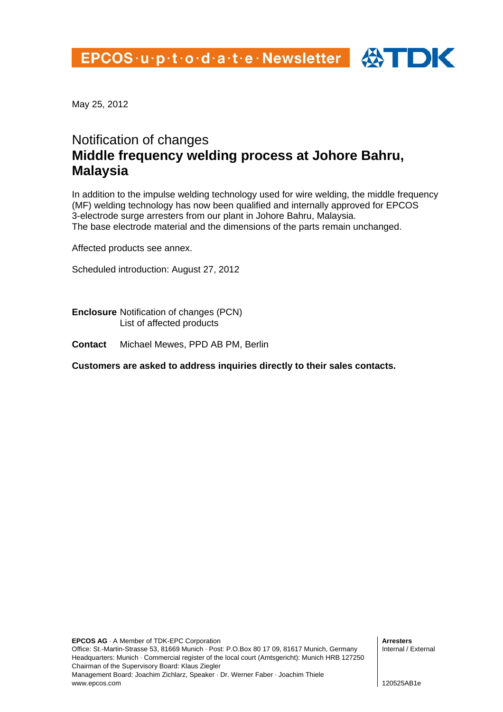

May 25, 2012

# Notification of changes **Middle frequency welding process at Johore Bahru, Malaysia**

In addition to the impulse welding technology used for wire welding, the middle frequency (MF) welding technology has now been qualified and internally approved for EPCOS 3-electrode surge arresters from our plant in Johore Bahru, Malaysia. The base electrode material and the dimensions of the parts remain unchanged.

Affected products see annex.

Scheduled introduction: August 27, 2012

**Enclosure** Notification of changes (PCN) List of affected products

**Contact** Michael Mewes, PPD AB PM, Berlin

**Customers are asked to address inquiries directly to their sales contacts.**

**Arresters**  Internal / External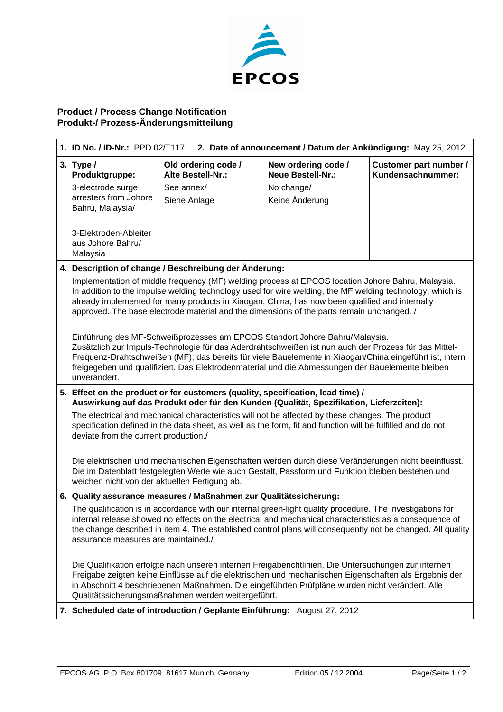

#### **Product / Process Change Notification Produkt-/ Prozess-Änderungsmitteilung**

| 1. ID No. / ID-Nr.: PPD 02/T117                                                                                                                                                                                                                                                                                                                                                                                     |              | 2. Date of announcement / Datum der Ankündigung: May 25, 2012 |                                                 |                                             |
|---------------------------------------------------------------------------------------------------------------------------------------------------------------------------------------------------------------------------------------------------------------------------------------------------------------------------------------------------------------------------------------------------------------------|--------------|---------------------------------------------------------------|-------------------------------------------------|---------------------------------------------|
| 3. Type $/$<br>Produktgruppe:                                                                                                                                                                                                                                                                                                                                                                                       |              | Old ordering code /<br>Alte Bestell-Nr.:                      | New ordering code /<br><b>Neue Bestell-Nr.:</b> | Customer part number /<br>Kundensachnummer: |
| 3-electrode surge                                                                                                                                                                                                                                                                                                                                                                                                   | See annex/   |                                                               | No change/                                      |                                             |
| arresters from Johore<br>Bahru, Malaysia/                                                                                                                                                                                                                                                                                                                                                                           | Siehe Anlage |                                                               | Keine Änderung                                  |                                             |
| 3-Elektroden-Ableiter<br>aus Johore Bahru/<br>Malaysia                                                                                                                                                                                                                                                                                                                                                              |              |                                                               |                                                 |                                             |
| 4. Description of change / Beschreibung der Änderung:                                                                                                                                                                                                                                                                                                                                                               |              |                                                               |                                                 |                                             |
| Implementation of middle frequency (MF) welding process at EPCOS location Johore Bahru, Malaysia.<br>In addition to the impulse welding technology used for wire welding, the MF welding technology, which is<br>already implemented for many products in Xiaogan, China, has now been qualified and internally<br>approved. The base electrode material and the dimensions of the parts remain unchanged. /        |              |                                                               |                                                 |                                             |
| Einführung des MF-Schweißprozesses am EPCOS Standort Johore Bahru/Malaysia.<br>Zusätzlich zur Impuls-Technologie für das Aderdrahtschweißen ist nun auch der Prozess für das Mittel-<br>Frequenz-Drahtschweißen (MF), das bereits für viele Bauelemente in Xiaogan/China eingeführt ist, intern<br>freigegeben und qualifiziert. Das Elektrodenmaterial und die Abmessungen der Bauelemente bleiben<br>unverändert. |              |                                                               |                                                 |                                             |
| 5. Effect on the product or for customers (quality, specification, lead time) /<br>Auswirkung auf das Produkt oder für den Kunden (Qualität, Spezifikation, Lieferzeiten):                                                                                                                                                                                                                                          |              |                                                               |                                                 |                                             |
| The electrical and mechanical characteristics will not be affected by these changes. The product<br>specification defined in the data sheet, as well as the form, fit and function will be fulfilled and do not<br>deviate from the current production./                                                                                                                                                            |              |                                                               |                                                 |                                             |
| Die elektrischen und mechanischen Eigenschaften werden durch diese Veränderungen nicht beeinflusst.<br>Die im Datenblatt festgelegten Werte wie auch Gestalt, Passform und Funktion bleiben bestehen und<br>weichen nicht von der aktuellen Fertigung ab.                                                                                                                                                           |              |                                                               |                                                 |                                             |
| 6. Quality assurance measures / Maßnahmen zur Qualitätssicherung:                                                                                                                                                                                                                                                                                                                                                   |              |                                                               |                                                 |                                             |
| The qualification is in accordance with our internal green-light quality procedure. The investigations for<br>internal release showed no effects on the electrical and mechanical characteristics as a consequence of<br>the change described in item 4. The established control plans will consequently not be changed. All quality<br>assurance measures are maintained./                                         |              |                                                               |                                                 |                                             |
| Die Qualifikation erfolgte nach unseren internen Freigaberichtlinien. Die Untersuchungen zur internen<br>Freigabe zeigten keine Einflüsse auf die elektrischen und mechanischen Eigenschaften als Ergebnis der<br>in Abschnitt 4 beschriebenen Maßnahmen. Die eingeführten Prüfpläne wurden nicht verändert. Alle<br>Qualitätssicherungsmaßnahmen werden weitergeführt.                                             |              |                                                               |                                                 |                                             |
| 7. Scheduled date of introduction / Geplante Einführung: August 27, 2012                                                                                                                                                                                                                                                                                                                                            |              |                                                               |                                                 |                                             |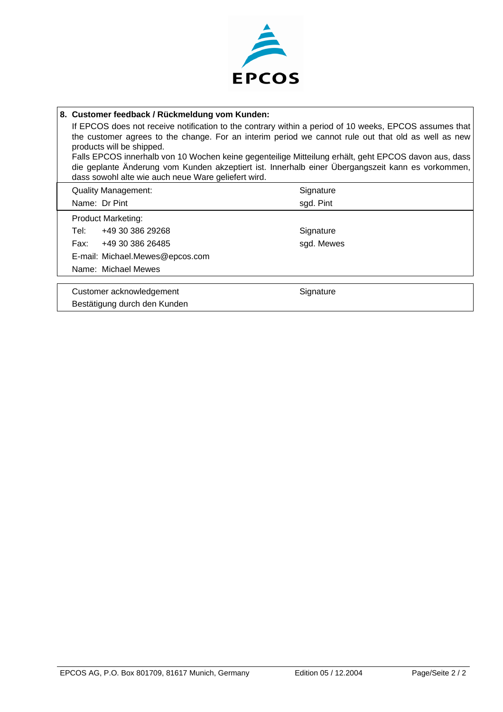

## **8. Customer feedback / Rückmeldung vom Kunden:** If EPCOS does not receive notification to the contrary within a period of 10 weeks, EPCOS assumes that the customer agrees to the change. For an interim period we cannot rule out that old as well as new products will be shipped. Falls EPCOS innerhalb von 10 Wochen keine gegenteilige Mitteilung erhält, geht EPCOS davon aus, dass die geplante Änderung vom Kunden akzeptiert ist. Innerhalb einer Übergangszeit kann es vorkommen, dass sowohl alte wie auch neue Ware geliefert wird. Quality Management: Signature Signature Name: Dr Pint sgd. Pint Product Marketing: Tel: +49 30 386 29268 Signature Fax: +49 30 386 26485 sgd. Mewes E-mail: Michael.Mewes@epcos.com Name: Michael Mewes Customer acknowledgement Customer acknowledgement Bestätigung durch den Kunden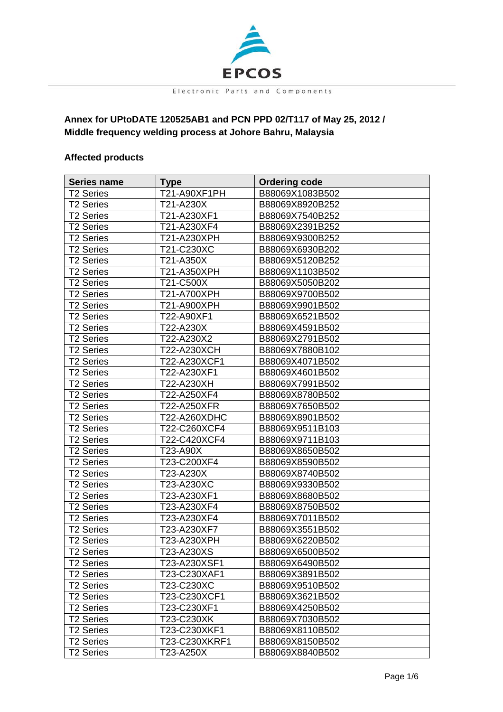

### **Annex for UPtoDATE 120525AB1 and PCN PPD 02/T117 of May 25, 2012 / Middle frequency welding process at Johore Bahru, Malaysia**

#### **Affected products**

| Series name           | <b>Type</b>   | <b>Ordering code</b> |
|-----------------------|---------------|----------------------|
| T2 Series             | T21-A90XF1PH  | B88069X1083B502      |
| <b>T2 Series</b>      | T21-A230X     | B88069X8920B252      |
| <b>T2 Series</b>      | T21-A230XF1   | B88069X7540B252      |
| <b>T2 Series</b>      | T21-A230XF4   | B88069X2391B252      |
| <b>T2 Series</b>      | T21-A230XPH   | B88069X9300B252      |
| <b>T2 Series</b>      | T21-C230XC    | B88069X6930B202      |
| <b>T2 Series</b>      | T21-A350X     | B88069X5120B252      |
| <b>T2 Series</b>      | T21-A350XPH   | B88069X1103B502      |
| <b>T2 Series</b>      | T21-C500X     | B88069X5050B202      |
| <b>T2 Series</b>      | T21-A700XPH   | B88069X9700B502      |
| <b>T2 Series</b>      | T21-A900XPH   | B88069X9901B502      |
| <b>T2 Series</b>      | T22-A90XF1    | B88069X6521B502      |
| <b>T2 Series</b>      | T22-A230X     | B88069X4591B502      |
| <b>T2 Series</b>      | T22-A230X2    | B88069X2791B502      |
| <b>T2 Series</b>      | T22-A230XCH   | B88069X7880B102      |
| T2 Series             | T22-A230XCF1  | B88069X4071B502      |
| <b>T2 Series</b>      | T22-A230XF1   | B88069X4601B502      |
| <b>T2 Series</b>      | T22-A230XH    | B88069X7991B502      |
| <b>T2 Series</b>      | T22-A250XF4   | B88069X8780B502      |
| <b>T2 Series</b>      | T22-A250XFR   | B88069X7650B502      |
| <b>T2 Series</b>      | T22-A260XDHC  | B88069X8901B502      |
| <b>T2 Series</b>      | T22-C260XCF4  | B88069X9511B103      |
| <b>T2 Series</b>      | T22-C420XCF4  | B88069X9711B103      |
| <b>T2 Series</b>      | T23-A90X      | B88069X8650B502      |
| T2 Series             | T23-C200XF4   | B88069X8590B502      |
| <b>T2 Series</b>      | T23-A230X     | B88069X8740B502      |
| <b>T2 Series</b>      | T23-A230XC    | B88069X9330B502      |
| <b>T2 Series</b>      | T23-A230XF1   | B88069X8680B502      |
| <b>T2 Series</b>      | T23-A230XF4   | B88069X8750B502      |
| <b>T2 Series</b>      | T23-A230XF4   | B88069X7011B502      |
| <b>T2 Series</b>      | T23-A230XF7   | B88069X3551B502      |
| <b>T2 Series</b>      | T23-A230XPH   | B88069X6220B502      |
| <b>T2 Series</b>      | T23-A230XS    | B88069X6500B502      |
| T <sub>2</sub> Series | T23-A230XSF1  | B88069X6490B502      |
| <b>T2 Series</b>      | T23-C230XAF1  | B88069X3891B502      |
| <b>T2 Series</b>      | T23-C230XC    | B88069X9510B502      |
| <b>T2 Series</b>      | T23-C230XCF1  | B88069X3621B502      |
| <b>T2 Series</b>      | T23-C230XF1   | B88069X4250B502      |
| <b>T2 Series</b>      | T23-C230XK    | B88069X7030B502      |
| <b>T2 Series</b>      | T23-C230XKF1  | B88069X8110B502      |
| <b>T2 Series</b>      | T23-C230XKRF1 | B88069X8150B502      |
| <b>T2 Series</b>      | T23-A250X     | B88069X8840B502      |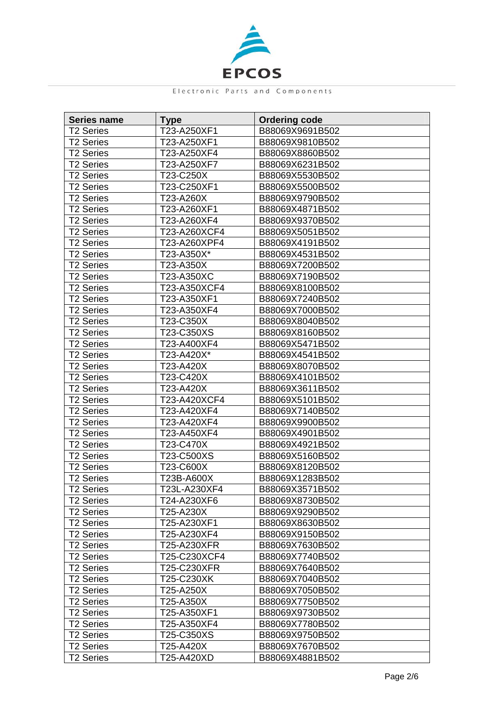

| <b>Series name</b>    | <b>Type</b>  | <b>Ordering code</b> |
|-----------------------|--------------|----------------------|
| <b>T2 Series</b>      | T23-A250XF1  | B88069X9691B502      |
| <b>T2 Series</b>      | T23-A250XF1  | B88069X9810B502      |
| <b>T2 Series</b>      | T23-A250XF4  | B88069X8860B502      |
| <b>T2 Series</b>      | T23-A250XF7  | B88069X6231B502      |
| <b>T2 Series</b>      | T23-C250X    | B88069X5530B502      |
| <b>T2 Series</b>      | T23-C250XF1  | B88069X5500B502      |
| <b>T2 Series</b>      | T23-A260X    | B88069X9790B502      |
| <b>T2 Series</b>      | T23-A260XF1  | B88069X4871B502      |
| <b>T2 Series</b>      | T23-A260XF4  | B88069X9370B502      |
| <b>T2 Series</b>      | T23-A260XCF4 | B88069X5051B502      |
| <b>T2 Series</b>      | T23-A260XPF4 | B88069X4191B502      |
| <b>T2 Series</b>      | T23-A350X*   | B88069X4531B502      |
| <b>T2 Series</b>      | T23-A350X    | B88069X7200B502      |
| <b>T2 Series</b>      | T23-A350XC   | B88069X7190B502      |
| <b>T2 Series</b>      | T23-A350XCF4 | B88069X8100B502      |
| <b>T2 Series</b>      | T23-A350XF1  | B88069X7240B502      |
| <b>T2 Series</b>      | T23-A350XF4  | B88069X7000B502      |
| <b>T2 Series</b>      | T23-C350X    | B88069X8040B502      |
| <b>T2 Series</b>      | T23-C350XS   | B88069X8160B502      |
| <b>T2 Series</b>      | T23-A400XF4  | B88069X5471B502      |
| <b>T2 Series</b>      | T23-A420X*   | B88069X4541B502      |
| <b>T2 Series</b>      | T23-A420X    | B88069X8070B502      |
| <b>T2 Series</b>      | T23-C420X    | B88069X4101B502      |
| <b>T2 Series</b>      | T23-A420X    | B88069X3611B502      |
| <b>T2 Series</b>      | T23-A420XCF4 | B88069X5101B502      |
| <b>T2 Series</b>      | T23-A420XF4  | B88069X7140B502      |
| T2 Series             | T23-A420XF4  | B88069X9900B502      |
| <b>T2 Series</b>      | T23-A450XF4  | B88069X4901B502      |
| <b>T2 Series</b>      | T23-C470X    | B88069X4921B502      |
| <b>T2 Series</b>      | T23-C500XS   | B88069X5160B502      |
| <b>T2 Series</b>      | T23-C600X    | B88069X8120B502      |
| <b>T2 Series</b>      | T23B-A600X   | B88069X1283B502      |
| <b>T2 Series</b>      | T23L-A230XF4 | B88069X3571B502      |
| <b>T2 Series</b>      | T24-A230XF6  | B88069X8730B502      |
| T <sub>2</sub> Series | T25-A230X    | B88069X9290B502      |
| <b>T2 Series</b>      | T25-A230XF1  | B88069X8630B502      |
| <b>T2 Series</b>      | T25-A230XF4  | B88069X9150B502      |
| <b>T2 Series</b>      | T25-A230XFR  | B88069X7630B502      |
| <b>T2 Series</b>      | T25-C230XCF4 | B88069X7740B502      |
| <b>T2 Series</b>      | T25-C230XFR  | B88069X7640B502      |
| <b>T2 Series</b>      | T25-C230XK   | B88069X7040B502      |
| <b>T2 Series</b>      | T25-A250X    | B88069X7050B502      |
| <b>T2 Series</b>      | T25-A350X    | B88069X7750B502      |
| <b>T2 Series</b>      | T25-A350XF1  | B88069X9730B502      |
| <b>T2 Series</b>      | T25-A350XF4  | B88069X7780B502      |
| <b>T2 Series</b>      | T25-C350XS   | B88069X9750B502      |
| <b>T2 Series</b>      | T25-A420X    | B88069X7670B502      |
| <b>T2 Series</b>      | T25-A420XD   | B88069X4881B502      |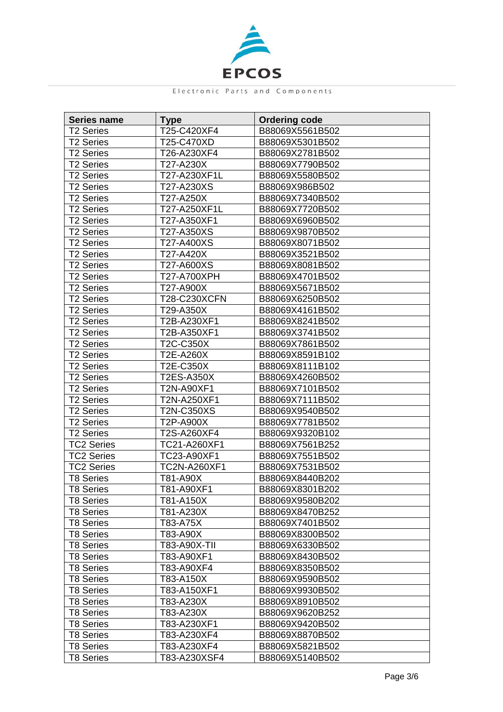

| <b>Series name</b> | <b>Type</b>       | <b>Ordering code</b> |
|--------------------|-------------------|----------------------|
| <b>T2 Series</b>   | T25-C420XF4       | B88069X5561B502      |
| <b>T2 Series</b>   | T25-C470XD        | B88069X5301B502      |
| <b>T2 Series</b>   | T26-A230XF4       | B88069X2781B502      |
| <b>T2 Series</b>   | T27-A230X         | B88069X7790B502      |
| <b>T2 Series</b>   | T27-A230XF1L      | B88069X5580B502      |
| <b>T2 Series</b>   | T27-A230XS        | B88069X986B502       |
| <b>T2 Series</b>   | T27-A250X         | B88069X7340B502      |
| <b>T2 Series</b>   | T27-A250XF1L      | B88069X7720B502      |
| <b>T2 Series</b>   | T27-A350XF1       | B88069X6960B502      |
| <b>T2 Series</b>   | T27-A350XS        | B88069X9870B502      |
| <b>T2 Series</b>   | T27-A400XS        | B88069X8071B502      |
| <b>T2 Series</b>   | T27-A420X         | B88069X3521B502      |
| T2 Series          | T27-A600XS        | B88069X8081B502      |
| <b>T2 Series</b>   | T27-A700XPH       | B88069X4701B502      |
| <b>T2 Series</b>   | T27-A900X         | B88069X5671B502      |
| <b>T2 Series</b>   | T28-C230XCFN      | B88069X6250B502      |
| <b>T2 Series</b>   | T29-A350X         | B88069X4161B502      |
| <b>T2 Series</b>   | T2B-A230XF1       | B88069X8241B502      |
| <b>T2 Series</b>   | T2B-A350XF1       | B88069X3741B502      |
| <b>T2 Series</b>   | T2C-C350X         | B88069X7861B502      |
| <b>T2 Series</b>   | T2E-A260X         | B88069X8591B102      |
| <b>T2 Series</b>   | T2E-C350X         | B88069X8111B102      |
| <b>T2 Series</b>   | <b>T2ES-A350X</b> | B88069X4260B502      |
| <b>T2 Series</b>   | T2N-A90XF1        | B88069X7101B502      |
| <b>T2 Series</b>   | T2N-A250XF1       | B88069X7111B502      |
| <b>T2 Series</b>   | T2N-C350XS        | B88069X9540B502      |
| <b>T2 Series</b>   | T2P-A900X         | B88069X7781B502      |
| <b>T2 Series</b>   | T2S-A260XF4       | B88069X9320B102      |
| <b>TC2 Series</b>  | TC21-A260XF1      | B88069X7561B252      |
| <b>TC2 Series</b>  | TC23-A90XF1       | B88069X7551B502      |
| <b>TC2 Series</b>  | TC2N-A260XF1      | B88069X7531B502      |
| <b>T8 Series</b>   | T81-A90X          | B88069X8440B202      |
| <b>T8 Series</b>   | T81-A90XF1        | B88069X8301B202      |
| <b>T8 Series</b>   | T81-A150X         | B88069X9580B202      |
| T8 Series          | T81-A230X         | B88069X8470B252      |
| <b>T8 Series</b>   | T83-A75X          | B88069X7401B502      |
| T8 Series          | T83-A90X          | B88069X8300B502      |
| <b>T8 Series</b>   | T83-A90X-TII      | B88069X6330B502      |
| <b>T8 Series</b>   | T83-A90XF1        | B88069X8430B502      |
| <b>T8 Series</b>   | T83-A90XF4        | B88069X8350B502      |
| T8 Series          | T83-A150X         | B88069X9590B502      |
| <b>T8 Series</b>   | T83-A150XF1       | B88069X9930B502      |
| <b>T8 Series</b>   | T83-A230X         | B88069X8910B502      |
| T8 Series          | T83-A230X         | B88069X9620B252      |
| T8 Series          | T83-A230XF1       | B88069X9420B502      |
| <b>T8 Series</b>   | T83-A230XF4       | B88069X8870B502      |
| <b>T8 Series</b>   | T83-A230XF4       | B88069X5821B502      |
| <b>T8 Series</b>   | T83-A230XSF4      | B88069X5140B502      |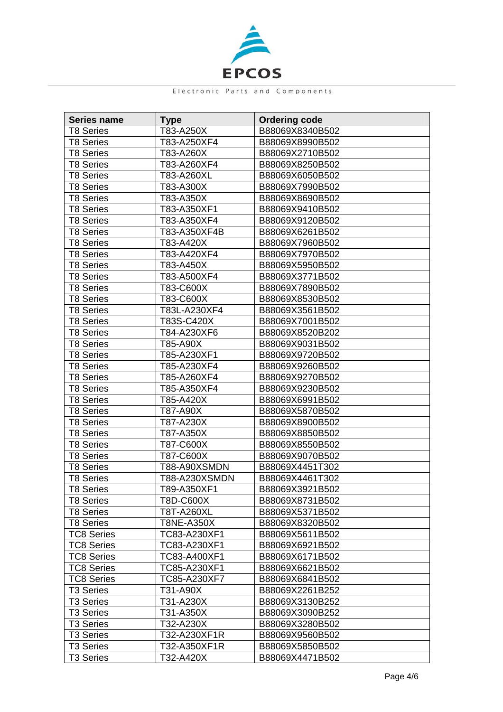

| <b>Series name</b>    | <b>Type</b>   | <b>Ordering code</b> |
|-----------------------|---------------|----------------------|
| T8 Series             | T83-A250X     | B88069X8340B502      |
| <b>T8 Series</b>      | T83-A250XF4   | B88069X8990B502      |
| <b>T8 Series</b>      | T83-A260X     | B88069X2710B502      |
| <b>T8 Series</b>      | T83-A260XF4   | B88069X8250B502      |
| <b>T8 Series</b>      | T83-A260XL    | B88069X6050B502      |
| <b>T8 Series</b>      | T83-A300X     | B88069X7990B502      |
| <b>T8 Series</b>      | T83-A350X     | B88069X8690B502      |
| <b>T8 Series</b>      | T83-A350XF1   | B88069X9410B502      |
| <b>T8 Series</b>      | T83-A350XF4   | B88069X9120B502      |
| <b>T8 Series</b>      | T83-A350XF4B  | B88069X6261B502      |
| <b>T8 Series</b>      | T83-A420X     | B88069X7960B502      |
| <b>T8 Series</b>      | T83-A420XF4   | B88069X7970B502      |
| T8 Series             | T83-A450X     | B88069X5950B502      |
| <b>T8 Series</b>      | T83-A500XF4   | B88069X3771B502      |
| <b>T8 Series</b>      | T83-C600X     | B88069X7890B502      |
| <b>T8 Series</b>      | T83-C600X     | B88069X8530B502      |
| <b>T8 Series</b>      | T83L-A230XF4  | B88069X3561B502      |
| <b>T8 Series</b>      | T83S-C420X    | B88069X7001B502      |
| <b>T8 Series</b>      | T84-A230XF6   | B88069X8520B202      |
| <b>T8 Series</b>      | T85-A90X      | B88069X9031B502      |
| <b>T8 Series</b>      | T85-A230XF1   | B88069X9720B502      |
| <b>T8 Series</b>      | T85-A230XF4   | B88069X9260B502      |
| <b>T8 Series</b>      | T85-A260XF4   | B88069X9270B502      |
| <b>T8 Series</b>      | T85-A350XF4   | B88069X9230B502      |
| <b>T8 Series</b>      | T85-A420X     | B88069X6991B502      |
| <b>T8 Series</b>      | T87-A90X      | B88069X5870B502      |
| <b>T8 Series</b>      | T87-A230X     | B88069X8900B502      |
| <b>T8 Series</b>      | T87-A350X     | B88069X8850B502      |
| <b>T8 Series</b>      | T87-C600X     | B88069X8550B502      |
| <b>T8 Series</b>      | T87-C600X     | B88069X9070B502      |
| <b>T8 Series</b>      | T88-A90XSMDN  | B88069X4451T302      |
| <b>T8 Series</b>      | T88-A230XSMDN | B88069X4461T302      |
| <b>T8 Series</b>      | T89-A350XF1   | B88069X3921B502      |
| <b>T8 Series</b>      | T8D-C600X     | B88069X8731B502      |
| <b>T8 Series</b>      | T8T-A260XL    | B88069X5371B502      |
| <b>T8 Series</b>      | T8NE-A350X    | B88069X8320B502      |
| <b>TC8 Series</b>     | TC83-A230XF1  | B88069X5611B502      |
| <b>TC8 Series</b>     | TC83-A230XF1  | B88069X6921B502      |
| <b>TC8 Series</b>     | TC83-A400XF1  | B88069X6171B502      |
| <b>TC8 Series</b>     | TC85-A230XF1  | B88069X6621B502      |
| <b>TC8 Series</b>     | TC85-A230XF7  | B88069X6841B502      |
| <b>T3 Series</b>      | T31-A90X      | B88069X2261B252      |
| <b>T3 Series</b>      | T31-A230X     | B88069X3130B252      |
| <b>T3 Series</b>      | T31-A350X     | B88069X3090B252      |
| T <sub>3</sub> Series | T32-A230X     | B88069X3280B502      |
| <b>T3 Series</b>      | T32-A230XF1R  | B88069X9560B502      |
| <b>T3 Series</b>      |               |                      |
|                       | T32-A350XF1R  | B88069X5850B502      |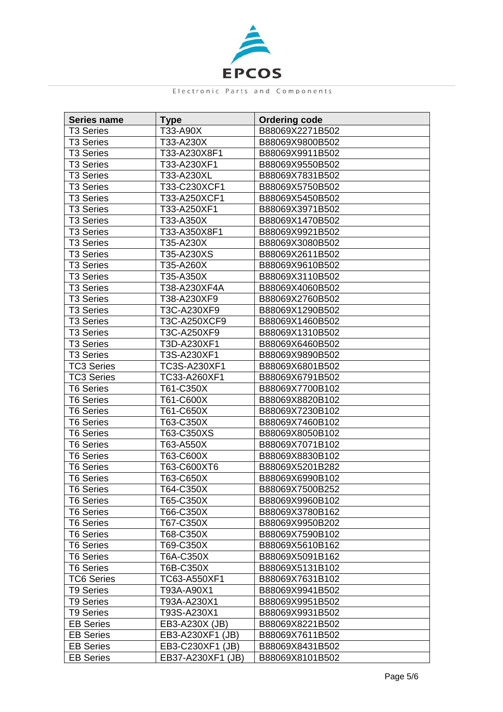

| <b>Series name</b> | <b>Type</b>       | <b>Ordering code</b> |
|--------------------|-------------------|----------------------|
| T3 Series          | T33-A90X          | B88069X2271B502      |
| <b>T3 Series</b>   | T33-A230X         | B88069X9800B502      |
| <b>T3 Series</b>   | T33-A230X8F1      | B88069X9911B502      |
| <b>T3 Series</b>   | T33-A230XF1       | B88069X9550B502      |
| <b>T3 Series</b>   | T33-A230XL        | B88069X7831B502      |
| <b>T3 Series</b>   | T33-C230XCF1      | B88069X5750B502      |
| <b>T3 Series</b>   | T33-A250XCF1      | B88069X5450B502      |
| <b>T3 Series</b>   | T33-A250XF1       | B88069X3971B502      |
| <b>T3 Series</b>   | T33-A350X         | B88069X1470B502      |
| <b>T3 Series</b>   | T33-A350X8F1      | B88069X9921B502      |
| <b>T3 Series</b>   | T35-A230X         | B88069X3080B502      |
| <b>T3 Series</b>   | T35-A230XS        | B88069X2611B502      |
| T3 Series          | T35-A260X         | B88069X9610B502      |
| <b>T3 Series</b>   | T35-A350X         | B88069X3110B502      |
| <b>T3 Series</b>   | T38-A230XF4A      | B88069X4060B502      |
| <b>T3 Series</b>   | T38-A230XF9       | B88069X2760B502      |
| <b>T3 Series</b>   | T3C-A230XF9       | B88069X1290B502      |
| <b>T3 Series</b>   | T3C-A250XCF9      | B88069X1460B502      |
| <b>T3 Series</b>   | T3C-A250XF9       | B88069X1310B502      |
| <b>T3 Series</b>   | T3D-A230XF1       | B88069X6460B502      |
| <b>T3 Series</b>   | T3S-A230XF1       | B88069X9890B502      |
| <b>TC3 Series</b>  | TC3S-A230XF1      | B88069X6801B502      |
| <b>TC3 Series</b>  | TC33-A260XF1      | B88069X6791B502      |
| <b>T6 Series</b>   | T61-C350X         | B88069X7700B102      |
| <b>T6 Series</b>   | T61-C600X         | B88069X8820B102      |
| <b>T6 Series</b>   | T61-C650X         | B88069X7230B102      |
| <b>T6 Series</b>   | T63-C350X         | B88069X7460B102      |
| <b>T6 Series</b>   | T63-C350XS        | B88069X8050B102      |
| <b>T6 Series</b>   | T63-A550X         | B88069X7071B102      |
| <b>T6 Series</b>   | T63-C600X         | B88069X8830B102      |
| <b>T6 Series</b>   | T63-C600XT6       | B88069X5201B282      |
| <b>T6 Series</b>   | T63-C650X         | B88069X6990B102      |
| <b>T6 Series</b>   | T64-C350X         | B88069X7500B252      |
| <b>T6 Series</b>   | T65-C350X         | B88069X9960B102      |
| T6 Series          | T66-C350X         | B88069X3780B162      |
| <b>T6 Series</b>   | T67-C350X         | B88069X9950B202      |
| <b>T6 Series</b>   | T68-C350X         | B88069X7590B102      |
| <b>T6 Series</b>   | T69-C350X         | B88069X5610B162      |
| <b>T6 Series</b>   | T6A-C350X         | B88069X5091B162      |
| <b>T6 Series</b>   | T6B-C350X         | B88069X5131B102      |
| <b>TC6 Series</b>  | TC63-A550XF1      | B88069X7631B102      |
| <b>T9 Series</b>   | T93A-A90X1        | B88069X9941B502      |
| <b>T9 Series</b>   | T93A-A230X1       | B88069X9951B502      |
| <b>T9 Series</b>   | T93S-A230X1       | B88069X9931B502      |
| <b>EB Series</b>   | EB3-A230X (JB)    | B88069X8221B502      |
| <b>EB Series</b>   | EB3-A230XF1 (JB)  | B88069X7611B502      |
| <b>EB Series</b>   | EB3-C230XF1 (JB)  | B88069X8431B502      |
| <b>EB Series</b>   | EB37-A230XF1 (JB) | B88069X8101B502      |